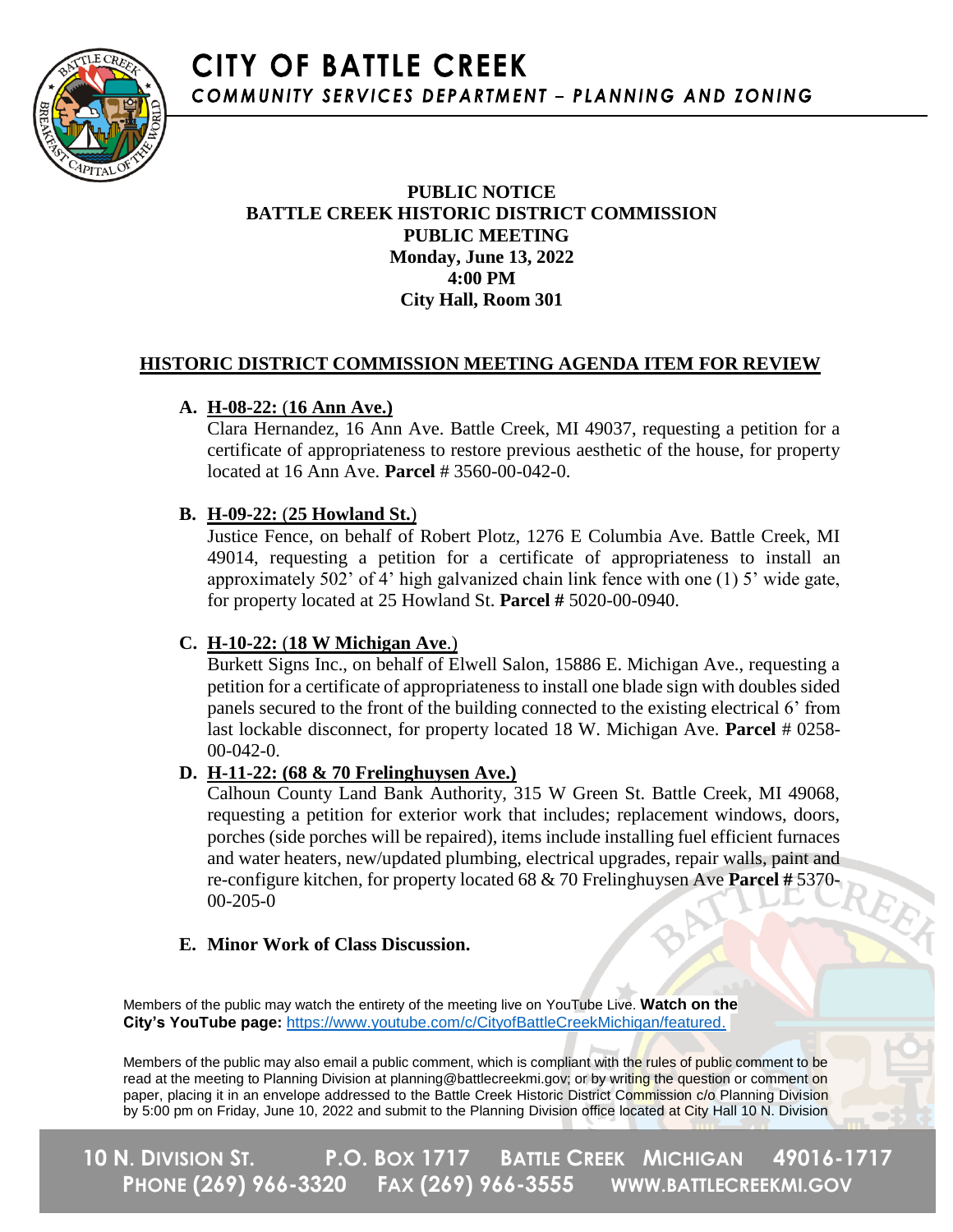

# **PUBLIC NOTICE BATTLE CREEK HISTORIC DISTRICT COMMISSION PUBLIC MEETING Monday, June 13, 2022 4:00 PM City Hall, Room 301**

# **HISTORIC DISTRICT COMMISSION MEETING AGENDA ITEM FOR REVIEW**

# **A. H-08-22:** (**16 Ann Ave.)**

Clara Hernandez, 16 Ann Ave. Battle Creek, MI 49037, requesting a petition for a certificate of appropriateness to restore previous aesthetic of the house, for property located at 16 Ann Ave. **Parcel** # 3560-00-042-0.

# **B. H-09-22:** (**25 Howland St.**)

Justice Fence, on behalf of Robert Plotz, 1276 E Columbia Ave. Battle Creek, MI 49014, requesting a petition for a certificate of appropriateness to install an approximately 502' of 4' high galvanized chain link fence with one (1) 5' wide gate, for property located at 25 Howland St. **Parcel #** 5020-00-0940.

# **C. H-10-22:** (**18 W Michigan Ave**.)

Burkett Signs Inc., on behalf of Elwell Salon, 15886 E. Michigan Ave., requesting a petition for a certificate of appropriateness to install one blade sign with doubles sided panels secured to the front of the building connected to the existing electrical 6' from last lockable disconnect, for property located 18 W. Michigan Ave. **Parcel** # 0258- 00-042-0.

# **D. H-11-22: (68 & 70 Frelinghuysen Ave.)**

Calhoun County Land Bank Authority, 315 W Green St. Battle Creek, MI 49068, requesting a petition for exterior work that includes; replacement windows, doors, porches (side porches will be repaired), items include installing fuel efficient furnaces and water heaters, new/updated plumbing, electrical upgrades, repair walls, paint and re-configure kitchen, for property located 68 & 70 Frelinghuysen Ave **Parcel #** 5370- 00-205-0

# **E. Minor Work of Class Discussion.**

Members of the public may watch the entirety of the meeting live on YouTube Live. **Watch on the City's YouTube page:** [https://www.youtube.com/c/CityofBattleCreekMichigan/featured.](https://www.youtube.com/c/CityofBattleCreekMichigan/featured)

Members of the public may also email a public comment, which is compliant with the rules of public comment to be read at the meeting to Planning Division at planning@battlecreekmi.gov; or by writing the question or comment on paper, placing it in an envelope addressed to the Battle Creek Historic District Commission c/o Planning Division by 5:00 pm on Friday, June 10, 2022 and submit to the Planning Division office located at City Hall 10 N. Division

**10 N. DIVISION ST. P.O. BOX 1717 BATTLE CREEK MICHIGAN 49016-1717 PHONE (269) 966-3320 FAX (269) 966-3555 WWW.BATTLECREEKMI.GOV**